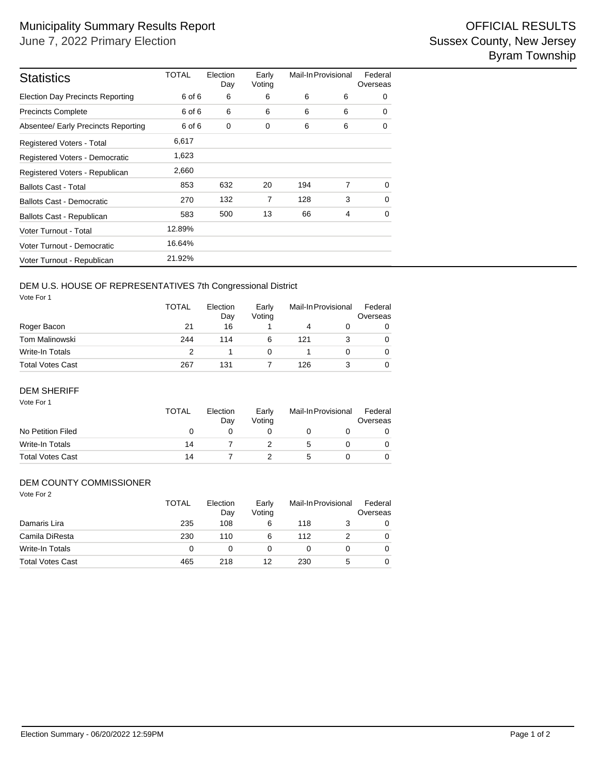| <b>Statistics</b>                       | <b>TOTAL</b> | Election<br>Day | Early<br>Voting | Mail-In Provisional |   | Federal<br>Overseas |
|-----------------------------------------|--------------|-----------------|-----------------|---------------------|---|---------------------|
| <b>Election Day Precincts Reporting</b> | 6 of 6       | 6               | 6               | 6                   | 6 | 0                   |
| <b>Precincts Complete</b>               | 6 of 6       | 6               | 6               | 6                   | 6 | 0                   |
| Absentee/ Early Precincts Reporting     | 6 of 6       | 0               | 0               | 6                   | 6 | 0                   |
| Registered Voters - Total               | 6,617        |                 |                 |                     |   |                     |
| Registered Voters - Democratic          | 1,623        |                 |                 |                     |   |                     |
| Registered Voters - Republican          | 2,660        |                 |                 |                     |   |                     |
| <b>Ballots Cast - Total</b>             | 853          | 632             | 20              | 194                 | 7 | 0                   |
| <b>Ballots Cast - Democratic</b>        | 270          | 132             | 7               | 128                 | 3 | $\mathbf 0$         |
| Ballots Cast - Republican               | 583          | 500             | 13              | 66                  | 4 | 0                   |
| Voter Turnout - Total                   | 12.89%       |                 |                 |                     |   |                     |
| Voter Turnout - Democratic              | 16.64%       |                 |                 |                     |   |                     |
| Voter Turnout - Republican              | 21.92%       |                 |                 |                     |   |                     |

## DEM U.S. HOUSE OF REPRESENTATIVES 7th Congressional District

Vote For 1

|                         | TOTAL | Election<br>Day | Early<br>Voting | Mail-In Provisional |  | Federal<br>Overseas |  |
|-------------------------|-------|-----------------|-----------------|---------------------|--|---------------------|--|
| Roger Bacon             | 21    | 16              |                 |                     |  | 0                   |  |
| Tom Malinowski          | 244   | 114             | 6               | 121                 |  | 0                   |  |
| Write-In Totals         |       |                 |                 |                     |  | 0                   |  |
| <b>Total Votes Cast</b> | 267   | 131             |                 | 126                 |  | 0                   |  |

### DEM SHERIFF

| Vote For 1              | <b>TOTAL</b> | Election<br>Day | Early<br>Votina | Mail-In Provisional | Federal<br>Overseas |
|-------------------------|--------------|-----------------|-----------------|---------------------|---------------------|
| No Petition Filed       | O            |                 |                 |                     | O                   |
| Write-In Totals         | 14           |                 |                 | 5.                  |                     |
| <b>Total Votes Cast</b> | 14           |                 |                 | :5                  |                     |

### DEM COUNTY COMMISSIONER

| Vote For 2              |              |                 |                 |                     |   |                     |
|-------------------------|--------------|-----------------|-----------------|---------------------|---|---------------------|
|                         | <b>TOTAL</b> | Election<br>Day | Early<br>Votina | Mail-In Provisional |   | Federal<br>Overseas |
| Damaris Lira            | 235          | 108             | 6               | 118                 | 3 | 0                   |
| Camila DiResta          | 230          | 110             | 6               | 112                 |   | 0                   |
| <b>Write-In Totals</b>  | 0            | 0               | 0               | 0                   |   | 0                   |
| <b>Total Votes Cast</b> | 465          | 218             | 12              | 230                 | 5 | 0                   |